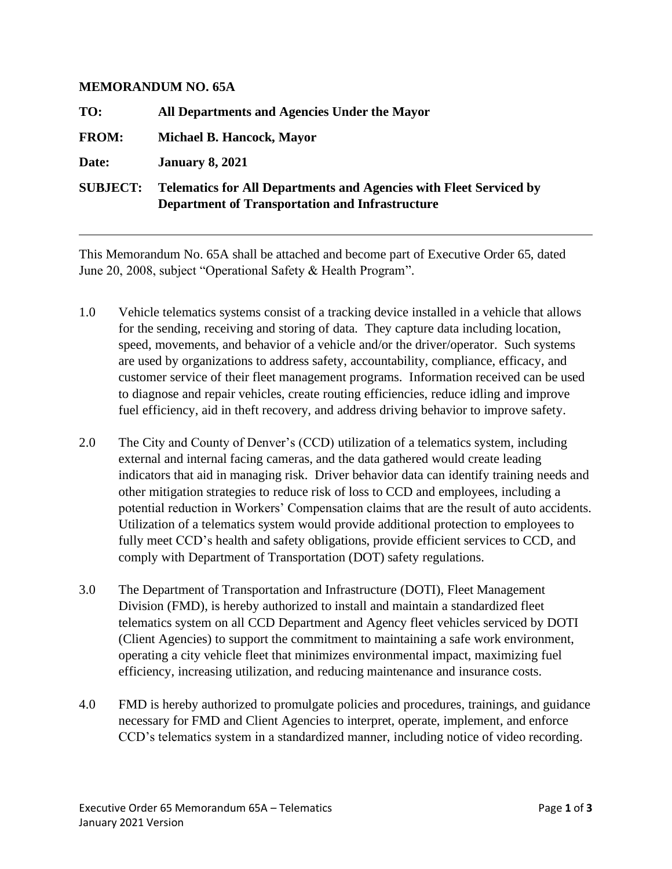## **MEMORANDUM NO. 65A**

| TO:             | All Departments and Agencies Under the Mayor                                                                                        |
|-----------------|-------------------------------------------------------------------------------------------------------------------------------------|
| <b>FROM:</b>    | Michael B. Hancock, Mayor                                                                                                           |
| Date:           | <b>January 8, 2021</b>                                                                                                              |
| <b>SUBJECT:</b> | <b>Telematics for All Departments and Agencies with Fleet Serviced by</b><br><b>Department of Transportation and Infrastructure</b> |

This Memorandum No. 65A shall be attached and become part of Executive Order 65, dated June 20, 2008, subject "Operational Safety & Health Program".

- 1.0 Vehicle telematics systems consist of a tracking device installed in a vehicle that allows for the sending, receiving and storing of data. They capture data including location, speed, movements, and behavior of a vehicle and/or the driver/operator. Such systems are used by organizations to address safety, accountability, compliance, efficacy, and customer service of their fleet management programs. Information received can be used to diagnose and repair vehicles, create routing efficiencies, reduce idling and improve fuel efficiency, aid in theft recovery, and address driving behavior to improve safety.
- 2.0 The City and County of Denver's (CCD) utilization of a telematics system, including external and internal facing cameras, and the data gathered would create leading indicators that aid in managing risk. Driver behavior data can identify training needs and other mitigation strategies to reduce risk of loss to CCD and employees, including a potential reduction in Workers' Compensation claims that are the result of auto accidents. Utilization of a telematics system would provide additional protection to employees to fully meet CCD's health and safety obligations, provide efficient services to CCD, and comply with Department of Transportation (DOT) safety regulations.
- 3.0 The Department of Transportation and Infrastructure (DOTI), Fleet Management Division (FMD), is hereby authorized to install and maintain a standardized fleet telematics system on all CCD Department and Agency fleet vehicles serviced by DOTI (Client Agencies) to support the commitment to maintaining a safe work environment, operating a city vehicle fleet that minimizes environmental impact, maximizing fuel efficiency, increasing utilization, and reducing maintenance and insurance costs.
- 4.0 FMD is hereby authorized to promulgate policies and procedures, trainings, and guidance necessary for FMD and Client Agencies to interpret, operate, implement, and enforce CCD's telematics system in a standardized manner, including notice of video recording.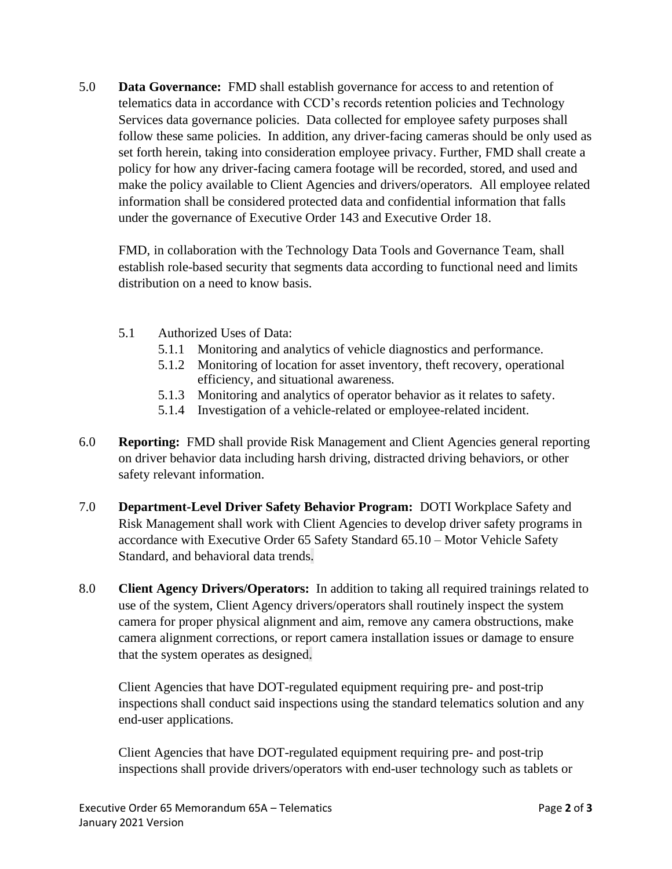5.0 **Data Governance:** FMD shall establish governance for access to and retention of telematics data in accordance with CCD's records retention policies and Technology Services data governance policies. Data collected for employee safety purposes shall follow these same policies. In addition, any driver-facing cameras should be only used as set forth herein, taking into consideration employee privacy. Further, FMD shall create a policy for how any driver-facing camera footage will be recorded, stored, and used and make the policy available to Client Agencies and drivers/operators. All employee related information shall be considered protected data and confidential information that falls under the governance of Executive Order 143 and Executive Order 18.

FMD, in collaboration with the Technology Data Tools and Governance Team, shall establish role-based security that segments data according to functional need and limits distribution on a need to know basis.

- 5.1 Authorized Uses of Data:
	- 5.1.1 Monitoring and analytics of vehicle diagnostics and performance.
	- 5.1.2 Monitoring of location for asset inventory, theft recovery, operational efficiency, and situational awareness.
	- 5.1.3 Monitoring and analytics of operator behavior as it relates to safety.
	- 5.1.4 Investigation of a vehicle-related or employee-related incident.
- 6.0 **Reporting:** FMD shall provide Risk Management and Client Agencies general reporting on driver behavior data including harsh driving, distracted driving behaviors, or other safety relevant information.
- 7.0 **Department-Level Driver Safety Behavior Program:** DOTI Workplace Safety and Risk Management shall work with Client Agencies to develop driver safety programs in accordance with Executive Order 65 Safety Standard 65.10 – Motor Vehicle Safety Standard, and behavioral data trends.
- 8.0 **Client Agency Drivers/Operators:** In addition to taking all required trainings related to use of the system, Client Agency drivers/operators shall routinely inspect the system camera for proper physical alignment and aim, remove any camera obstructions, make camera alignment corrections, or report camera installation issues or damage to ensure that the system operates as designed.

Client Agencies that have DOT-regulated equipment requiring pre- and post-trip inspections shall conduct said inspections using the standard telematics solution and any end-user applications.

Client Agencies that have DOT-regulated equipment requiring pre- and post-trip inspections shall provide drivers/operators with end-user technology such as tablets or